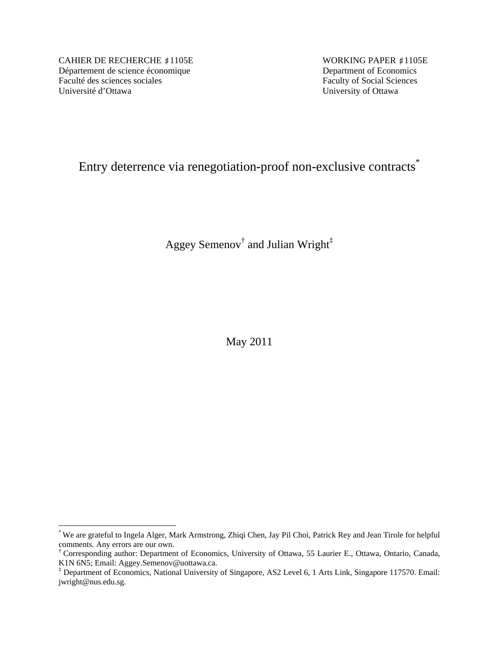CAHIER DE RECHERCHE #1105E WORKING PAPER #1105E Département de science économique<br>
Faculté des sciences sociales<br>
Faculty of Social Sciences Université d'Ottawa University of Ottawa

 $\overline{a}$ 

Faculty of Social Sciences

# Entry deterrence via renegotiation-proof non-exclusive contracts<sup>\*</sup>

Aggey Semenov<sup>†</sup> and Julian Wright<sup>‡</sup>

May 2011

<sup>\*</sup> We are grateful to Ingela Alger, Mark Armstrong, Zhiqi Chen, Jay Pil Choi, Patrick Rey and Jean Tirole for helpful comments. Any errors are our own.

<sup>†</sup> Corresponding author: Department of Economics, University of Ottawa, 55 Laurier E., Ottawa, Ontario, Canada, K1N 6N5; Email: Aggey.Semenov@uottawa.ca.

<sup>‡</sup> Department of Economics, National University of Singapore, AS2 Level 6, 1 Arts Link, Singapore 117570. Email: jwright@nus.edu.sg.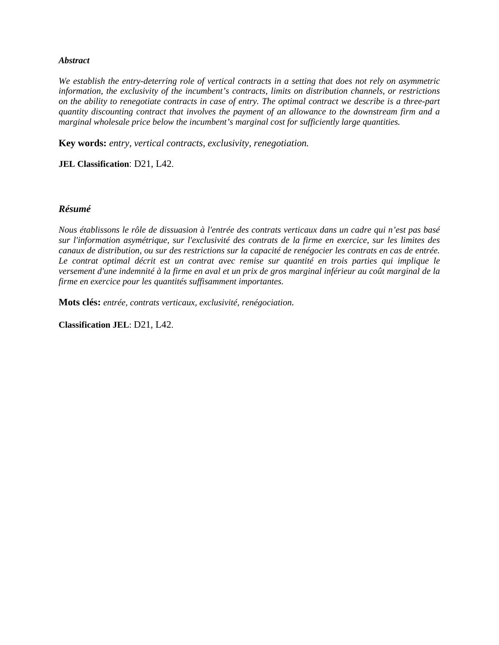#### *Abstract*

*We establish the entry-deterring role of vertical contracts in a setting that does not rely on asymmetric information, the exclusivity of the incumbent's contracts, limits on distribution channels, or restrictions on the ability to renegotiate contracts in case of entry. The optimal contract we describe is a three-part quantity discounting contract that involves the payment of an allowance to the downstream firm and a marginal wholesale price below the incumbent's marginal cost for sufficiently large quantities.* 

**Key words:** *entry, vertical contracts, exclusivity, renegotiation.*

**JEL Classification**: D21, L42.

#### *Résumé*

*Nous établissons le rôle de dissuasion à l'entrée des contrats verticaux dans un cadre qui n'est pas basé sur l'information asymétrique, sur l'exclusivité des contrats de la firme en exercice, sur les limites des canaux de distribution, ou sur des restrictions sur la capacité de renégocier les contrats en cas de entrée. Le contrat optimal décrit est un contrat avec remise sur quantité en trois parties qui implique le versement d'une indemnité à la firme en aval et un prix de gros marginal inférieur au coût marginal de la firme en exercice pour les quantités suffisamment importantes.* 

**Mots clés:** *entrée, contrats verticaux, exclusivité, renégociation.*

**Classification JEL**: D21, L42.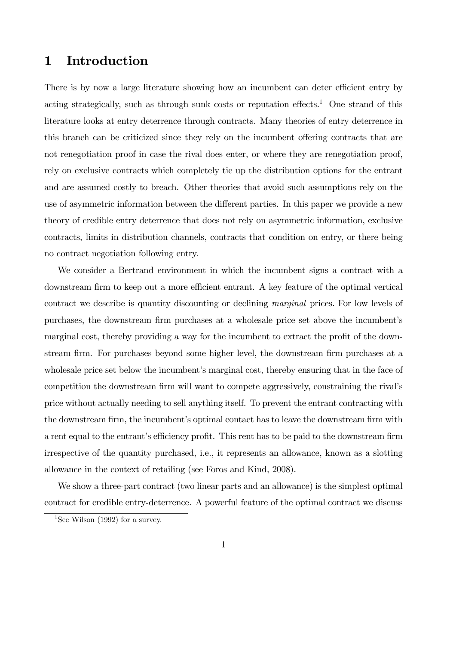### 1 Introduction

There is by now a large literature showing how an incumbent can deter efficient entry by acting strategically, such as through sunk costs or reputation effects.<sup>1</sup> One strand of this literature looks at entry deterrence through contracts. Many theories of entry deterrence in this branch can be criticized since they rely on the incumbent offering contracts that are not renegotiation proof in case the rival does enter, or where they are renegotiation proof, rely on exclusive contracts which completely tie up the distribution options for the entrant and are assumed costly to breach. Other theories that avoid such assumptions rely on the use of asymmetric information between the different parties. In this paper we provide a new theory of credible entry deterrence that does not rely on asymmetric information, exclusive contracts, limits in distribution channels, contracts that condition on entry, or there being no contract negotiation following entry.

We consider a Bertrand environment in which the incumbent signs a contract with a downstream firm to keep out a more efficient entrant. A key feature of the optimal vertical contract we describe is quantity discounting or declining marginal prices. For low levels of purchases, the downstream firm purchases at a wholesale price set above the incumbent's marginal cost, thereby providing a way for the incumbent to extract the profit of the downstream firm. For purchases beyond some higher level, the downstream firm purchases at a wholesale price set below the incumbent's marginal cost, thereby ensuring that in the face of competition the downstream firm will want to compete aggressively, constraining the rival's price without actually needing to sell anything itself. To prevent the entrant contracting with the downstream firm, the incumbent's optimal contact has to leave the downstream firm with a rent equal to the entrant's efficiency profit. This rent has to be paid to the downstream firm irrespective of the quantity purchased, i.e., it represents an allowance, known as a slotting allowance in the context of retailing (see Foros and Kind, 2008).

We show a three-part contract (two linear parts and an allowance) is the simplest optimal contract for credible entry-deterrence. A powerful feature of the optimal contract we discuss

<sup>&</sup>lt;sup>1</sup>See Wilson (1992) for a survey.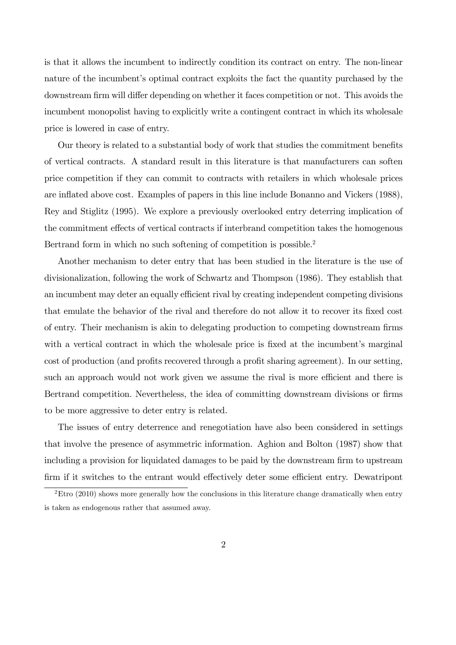is that it allows the incumbent to indirectly condition its contract on entry. The non-linear nature of the incumbent's optimal contract exploits the fact the quantity purchased by the downstream firm will differ depending on whether it faces competition or not. This avoids the incumbent monopolist having to explicitly write a contingent contract in which its wholesale price is lowered in case of entry.

Our theory is related to a substantial body of work that studies the commitment benefits of vertical contracts. A standard result in this literature is that manufacturers can soften price competition if they can commit to contracts with retailers in which wholesale prices are ináated above cost. Examples of papers in this line include Bonanno and Vickers (1988), Rey and Stiglitz (1995). We explore a previously overlooked entry deterring implication of the commitment effects of vertical contracts if interbrand competition takes the homogenous Bertrand form in which no such softening of competition is possible.<sup>2</sup>

Another mechanism to deter entry that has been studied in the literature is the use of divisionalization, following the work of Schwartz and Thompson (1986). They establish that an incumbent may deter an equally efficient rival by creating independent competing divisions that emulate the behavior of the rival and therefore do not allow it to recover its fixed cost of entry. Their mechanism is akin to delegating production to competing downstream firms with a vertical contract in which the wholesale price is fixed at the incumbent's marginal cost of production (and profits recovered through a profit sharing agreement). In our setting, such an approach would not work given we assume the rival is more efficient and there is Bertrand competition. Nevertheless, the idea of committing downstream divisions or firms to be more aggressive to deter entry is related.

The issues of entry deterrence and renegotiation have also been considered in settings that involve the presence of asymmetric information. Aghion and Bolton (1987) show that including a provision for liquidated damages to be paid by the downstream firm to upstream firm if it switches to the entrant would effectively deter some efficient entry. Dewatripont

<sup>&</sup>lt;sup>2</sup>Etro (2010) shows more generally how the conclusions in this literature change dramatically when entry is taken as endogenous rather that assumed away.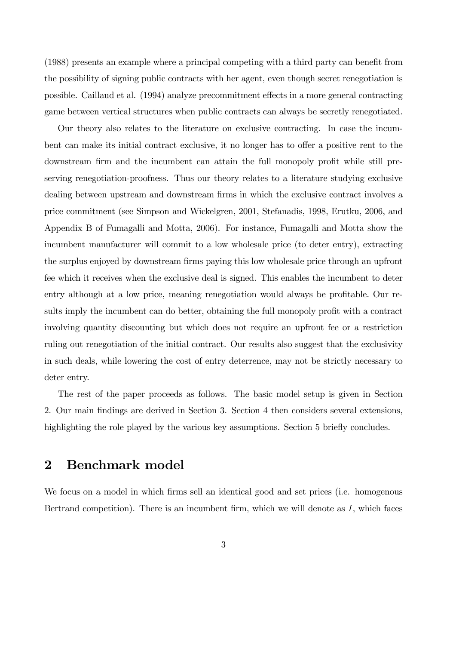(1988) presents an example where a principal competing with a third party can benefit from the possibility of signing public contracts with her agent, even though secret renegotiation is possible. Caillaud et al. (1994) analyze precommitment effects in a more general contracting game between vertical structures when public contracts can always be secretly renegotiated.

Our theory also relates to the literature on exclusive contracting. In case the incumbent can make its initial contract exclusive, it no longer has to offer a positive rent to the downstream firm and the incumbent can attain the full monopoly profit while still preserving renegotiation-proofness. Thus our theory relates to a literature studying exclusive dealing between upstream and downstream firms in which the exclusive contract involves a price commitment (see Simpson and Wickelgren, 2001, Stefanadis, 1998, Erutku, 2006, and Appendix B of Fumagalli and Motta, 2006). For instance, Fumagalli and Motta show the incumbent manufacturer will commit to a low wholesale price (to deter entry), extracting the surplus enjoyed by downstream firms paying this low wholesale price through an upfront fee which it receives when the exclusive deal is signed. This enables the incumbent to deter entry although at a low price, meaning renegotiation would always be profitable. Our results imply the incumbent can do better, obtaining the full monopoly profit with a contract involving quantity discounting but which does not require an upfront fee or a restriction ruling out renegotiation of the initial contract. Our results also suggest that the exclusivity in such deals, while lowering the cost of entry deterrence, may not be strictly necessary to deter entry.

The rest of the paper proceeds as follows. The basic model setup is given in Section 2. Our main findings are derived in Section 3. Section 4 then considers several extensions, highlighting the role played by the various key assumptions. Section 5 briefly concludes.

#### 2 Benchmark model

We focus on a model in which firms sell an identical good and set prices (i.e. homogenous Bertrand competition). There is an incumbent firm, which we will denote as  $I$ , which faces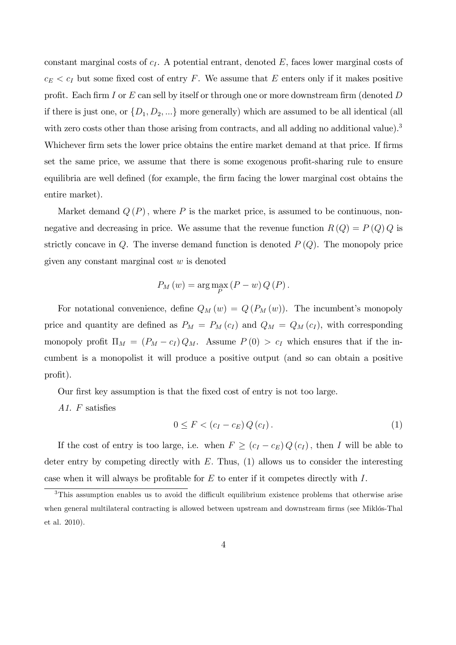constant marginal costs of  $c_I$ . A potential entrant, denoted  $E$ , faces lower marginal costs of  $c_E < c_I$  but some fixed cost of entry F. We assume that E enters only if it makes positive profit. Each firm I or  $E$  can sell by itself or through one or more downstream firm (denoted  $D$ if there is just one, or  $\{D_1, D_2, ...\}$  more generally) which are assumed to be all identical (all with zero costs other than those arising from contracts, and all adding no additional value).<sup>3</sup> Whichever firm sets the lower price obtains the entire market demand at that price. If firms set the same price, we assume that there is some exogenous profit-sharing rule to ensure equilibria are well defined (for example, the firm facing the lower marginal cost obtains the entire market).

Market demand  $Q(P)$ , where P is the market price, is assumed to be continuous, nonnegative and decreasing in price. We assume that the revenue function  $R(Q) = P(Q)Q$  is strictly concave in  $Q$ . The inverse demand function is denoted  $P(Q)$ . The monopoly price given any constant marginal cost  $w$  is denoted

$$
P_M(w) = \arg\max_{P} (P - w) Q(P).
$$

For notational convenience, define  $Q_M(w) = Q(P_M(w))$ . The incumbent's monopoly price and quantity are defined as  $P_M = P_M(c_I)$  and  $Q_M = Q_M(c_I)$ , with corresponding monopoly profit  $\Pi_M = (P_M - c_I) Q_M$ . Assume  $P(0) > c_I$  which ensures that if the incumbent is a monopolist it will produce a positive output (and so can obtain a positive profit).

Our first key assumption is that the fixed cost of entry is not too large.

A1.  $F$  satisfies

$$
0 \leq F < (c_I - c_E) \, Q(c_I). \tag{1}
$$

If the cost of entry is too large, i.e. when  $F \ge (c_I - c_E) Q(c_I)$ , then I will be able to deter entry by competing directly with  $E$ . Thus,  $(1)$  allows us to consider the interesting case when it will always be profitable for  $E$  to enter if it competes directly with  $I$ .

<sup>&</sup>lt;sup>3</sup>This assumption enables us to avoid the difficult equilibrium existence problems that otherwise arise when general multilateral contracting is allowed between upstream and downstream firms (see Miklós-Thal et al. 2010).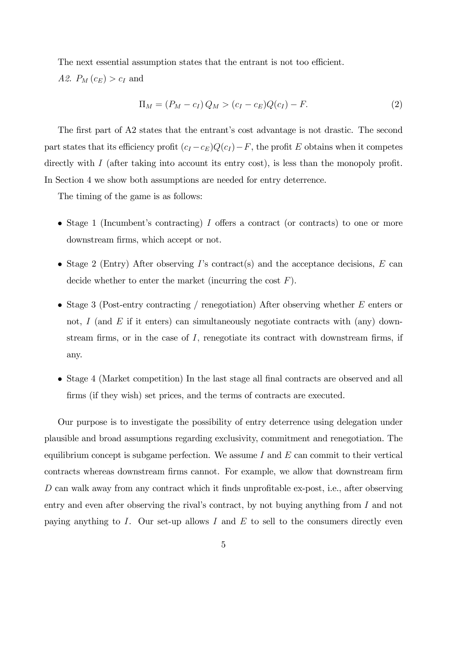The next essential assumption states that the entrant is not too efficient. *A2.*  $P_M(c_E) > c_I$  and

$$
\Pi_M = (P_M - c_I) Q_M > (c_I - c_E) Q(c_I) - F.
$$
\n(2)

The first part of A2 states that the entrant's cost advantage is not drastic. The second part states that its efficiency profit  $(c_I - c_E)Q(c_I) - F$ , the profit E obtains when it competes directly with  $I$  (after taking into account its entry cost), is less than the monopoly profit. In Section 4 we show both assumptions are needed for entry deterrence.

The timing of the game is as follows:

- Stage 1 (Incumbent's contracting) I offers a contract (or contracts) to one or more downstream firms, which accept or not.
- Stage 2 (Entry) After observing I's contract(s) and the acceptance decisions, E can decide whether to enter the market (incurring the cost  $F$ ).
- Stage 3 (Post-entry contracting / renegotiation) After observing whether E enters or not, I (and  $E$  if it enters) can simultaneously negotiate contracts with (any) downstream firms, or in the case of  $I$ , renegotiate its contract with downstream firms, if any.
- Stage 4 (Market competition) In the last stage all final contracts are observed and all firms (if they wish) set prices, and the terms of contracts are executed.

Our purpose is to investigate the possibility of entry deterrence using delegation under plausible and broad assumptions regarding exclusivity, commitment and renegotiation. The equilibrium concept is subgame perfection. We assume  $I$  and  $E$  can commit to their vertical contracts whereas downstream firms cannot. For example, we allow that downstream firm  $D$  can walk away from any contract which it finds unprofitable ex-post, i.e., after observing entry and even after observing the rival's contract, by not buying anything from  $I$  and not paying anything to I. Our set-up allows I and E to sell to the consumers directly even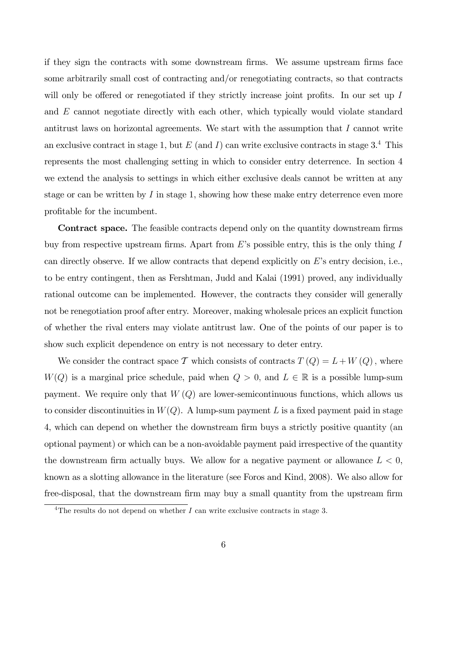if they sign the contracts with some downstream firms. We assume upstream firms face some arbitrarily small cost of contracting and/or renegotiating contracts, so that contracts will only be offered or renegotiated if they strictly increase joint profits. In our set up  $I$ and E cannot negotiate directly with each other, which typically would violate standard antitrust laws on horizontal agreements. We start with the assumption that  $I$  cannot write an exclusive contract in stage 1, but  $E$  (and  $I$ ) can write exclusive contracts in stage 3.<sup>4</sup> This represents the most challenging setting in which to consider entry deterrence. In section 4 we extend the analysis to settings in which either exclusive deals cannot be written at any stage or can be written by  $I$  in stage 1, showing how these make entry deterrence even more profitable for the incumbent.

Contract space. The feasible contracts depend only on the quantity downstream firms buy from respective upstream firms. Apart from  $E$ 's possible entry, this is the only thing I can directly observe. If we allow contracts that depend explicitly on  $E$ 's entry decision, i.e., to be entry contingent, then as Fershtman, Judd and Kalai (1991) proved, any individually rational outcome can be implemented. However, the contracts they consider will generally not be renegotiation proof after entry. Moreover, making wholesale prices an explicit function of whether the rival enters may violate antitrust law. One of the points of our paper is to show such explicit dependence on entry is not necessary to deter entry.

We consider the contract space  $\mathcal T$  which consists of contracts  $T(Q) = L + W(Q)$ , where  $W(Q)$  is a marginal price schedule, paid when  $Q > 0$ , and  $L \in \mathbb{R}$  is a possible lump-sum payment. We require only that  $W(Q)$  are lower-semicontinuous functions, which allows us to consider discontinuities in  $W(Q)$ . A lump-sum payment L is a fixed payment paid in stage 4, which can depend on whether the downstream firm buys a strictly positive quantity (an optional payment) or which can be a non-avoidable payment paid irrespective of the quantity the downstream firm actually buys. We allow for a negative payment or allowance  $L < 0$ , known as a slotting allowance in the literature (see Foros and Kind, 2008). We also allow for free-disposal, that the downstream firm may buy a small quantity from the upstream firm

<sup>&</sup>lt;sup>4</sup>The results do not depend on whether  $I$  can write exclusive contracts in stage 3.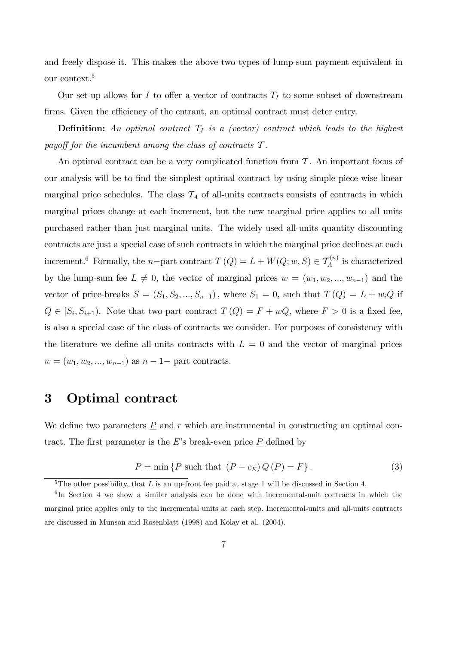and freely dispose it. This makes the above two types of lump-sum payment equivalent in our context.<sup>5</sup>

Our set-up allows for I to offer a vector of contracts  $T_I$  to some subset of downstream firms. Given the efficiency of the entrant, an optimal contract must deter entry.

**Definition:** An optimal contract  $T_I$  is a (vector) contract which leads to the highest payoff for the incumbent among the class of contracts  $\mathcal T$ .

An optimal contract can be a very complicated function from  $\mathcal T$ . An important focus of our analysis will be to Önd the simplest optimal contract by using simple piece-wise linear marginal price schedules. The class  $\mathcal{T}_A$  of all-units contracts consists of contracts in which marginal prices change at each increment, but the new marginal price applies to all units purchased rather than just marginal units. The widely used all-units quantity discounting contracts are just a special case of such contracts in which the marginal price declines at each increment.<sup>6</sup> Formally, the *n*-part contract  $T(Q) = L + W(Q; w, S) \in T_A^{(n)}$  is characterized by the lump-sum fee  $L \neq 0$ , the vector of marginal prices  $w = (w_1, w_2, ..., w_{n-1})$  and the vector of price-breaks  $S = (S_1, S_2, ..., S_{n-1})$ , where  $S_1 = 0$ , such that  $T(Q) = L + w_i Q$  if  $Q \in [S_i, S_{i+1})$ . Note that two-part contract  $T(Q) = F + wQ$ , where  $F > 0$  is a fixed fee, is also a special case of the class of contracts we consider. For purposes of consistency with the literature we define all-units contracts with  $L = 0$  and the vector of marginal prices  $w = (w_1, w_2, ..., w_{n-1})$  as  $n - 1$  part contracts.

### 3 Optimal contract

We define two parameters  $\underline{P}$  and r which are instrumental in constructing an optimal contract. The first parameter is the  $E$ 's break-even price  $P$  defined by

$$
\underline{P} = \min \{ P \text{ such that } (P - c_E) Q(P) = F \}.
$$
 (3)

<sup>&</sup>lt;sup>5</sup>The other possibility, that L is an up-front fee paid at stage 1 will be discussed in Section 4.

<sup>&</sup>lt;sup>6</sup>In Section 4 we show a similar analysis can be done with incremental-unit contracts in which the marginal price applies only to the incremental units at each step. Incremental-units and all-units contracts are discussed in Munson and Rosenblatt (1998) and Kolay et al. (2004).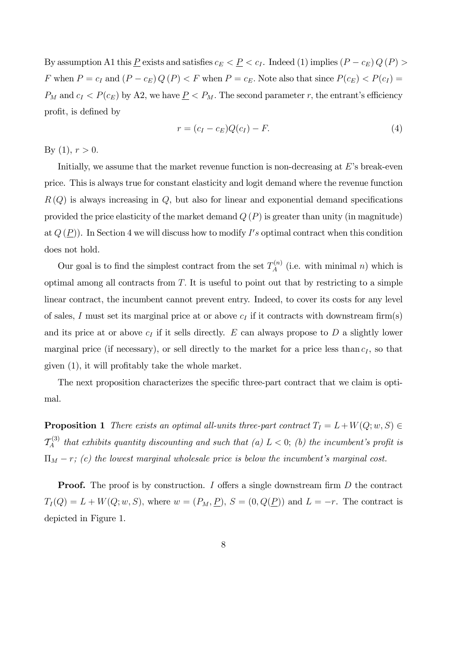By assumption A1 this  $\underline{P}$  exists and satisfies  $c_E < \underline{P} < c_I$ . Indeed (1) implies  $(P - c_E)Q(P) >$ F when  $P = c_I$  and  $(P - c_E) Q(P) < F$  when  $P = c_E$ . Note also that since  $P(c_E) < P(c_I)$  $P_M$  and  $c_I < P(c_E)$  by A2, we have  $\underline{P} < P_M$ . The second parameter r, the entrant's efficiency profit, is defined by

$$
r = (c_I - c_E)Q(c_I) - F.
$$
\n
$$
(4)
$$

By (1),  $r > 0$ .

Initially, we assume that the market revenue function is non-decreasing at  $E$ 's break-even price. This is always true for constant elasticity and logit demand where the revenue function  $R(Q)$  is always increasing in  $Q$ , but also for linear and exponential demand specifications provided the price elasticity of the market demand  $Q(P)$  is greater than unity (in magnitude) at  $Q(\underline{P})$ ). In Section 4 we will discuss how to modify I's optimal contract when this condition does not hold.

Our goal is to find the simplest contract from the set  $T_A^{(n)}$  $A^{(n)}$  (i.e. with minimal *n*) which is optimal among all contracts from  $T$ . It is useful to point out that by restricting to a simple linear contract, the incumbent cannot prevent entry. Indeed, to cover its costs for any level of sales, I must set its marginal price at or above  $c_I$  if it contracts with downstream firm(s) and its price at or above  $c_I$  if it sells directly. E can always propose to D a slightly lower marginal price (if necessary), or sell directly to the market for a price less than  $c_I$ , so that given  $(1)$ , it will profitably take the whole market.

The next proposition characterizes the specific three-part contract that we claim is optimal.

**Proposition 1** There exists an optimal all-units three-part contract  $T_I = L + W(Q; w, S) \in$  $\mathcal{T}_A^{(3)}$ <sup> $\epsilon$ </sup><sup>(3)</sup> that exhibits quantity discounting and such that (a)  $L < 0$ ; (b) the incumbent's profit is  $\Pi_M - r$ ; (c) the lowest marginal wholesale price is below the incumbent's marginal cost.

**Proof.** The proof is by construction. I offers a single downstream firm  $D$  the contract  $T_I(Q) = L + W(Q; w, S)$ , where  $w = (P_M, \underline{P})$ ,  $S = (0, Q(\underline{P}))$  and  $L = -r$ . The contract is depicted in Figure 1.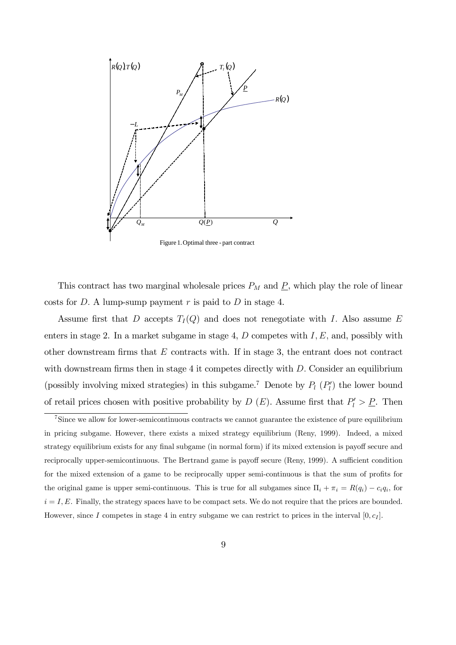

Figure 1.Optimal three - part contract

This contract has two marginal wholesale prices  $P_M$  and  $\underline{P}$ , which play the role of linear costs for  $D$ . A lump-sump payment r is paid to  $D$  in stage 4.

Assume first that D accepts  $T_I(Q)$  and does not renegotiate with I. Also assume E enters in stage 2. In a market subgame in stage 4,  $D$  competes with  $I, E$ , and, possibly with other downstream firms that  $E$  contracts with. If in stage 3, the entrant does not contract with downstream firms then in stage 4 it competes directly with  $D$ . Consider an equilibrium (possibly involving mixed strategies) in this subgame.<sup>7</sup> Denote by  $P_l$  ( $P'_l$ ) the lower bound of retail prices chosen with positive probability by  $D(E)$ . Assume first that  $P'_l > P$ . Then

<sup>7</sup>Since we allow for lower-semicontinuous contracts we cannot guarantee the existence of pure equilibrium in pricing subgame. However, there exists a mixed strategy equilibrium (Reny, 1999). Indeed, a mixed strategy equilibrium exists for any final subgame (in normal form) if its mixed extension is payoff secure and reciprocally upper-semicontinuous. The Bertrand game is payoff secure (Reny, 1999). A sufficient condition for the mixed extension of a game to be reciprocally upper semi-continuous is that the sum of profits for the original game is upper semi-continuous. This is true for all subgames since  $\Pi_i + \pi_i = R(q_i) - c_i q_i$ , for  $i = I, E$ . Finally, the strategy spaces have to be compact sets. We do not require that the prices are bounded. However, since I competes in stage 4 in entry subgame we can restrict to prices in the interval  $[0, c_I]$ .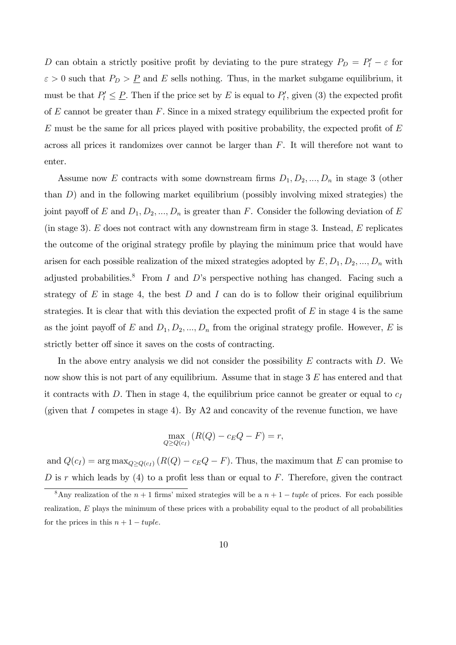D can obtain a strictly positive profit by deviating to the pure strategy  $P_D = P'_l - \varepsilon$  for  $\varepsilon > 0$  such that  $P_D > \underline{P}$  and E sells nothing. Thus, in the market subgame equilibrium, it must be that  $P'_l \leq P$ . Then if the price set by E is equal to  $P'_l$ , given (3) the expected profit of  $E$  cannot be greater than  $F$ . Since in a mixed strategy equilibrium the expected profit for  $E$  must be the same for all prices played with positive probability, the expected profit of  $E$ across all prices it randomizes over cannot be larger than F. It will therefore not want to enter.

Assume now E contracts with some downstream firms  $D_1, D_2, ..., D_n$  in stage 3 (other than D) and in the following market equilibrium (possibly involving mixed strategies) the joint payoff of E and  $D_1, D_2, ..., D_n$  is greater than F. Consider the following deviation of E (in stage 3).  $E$  does not contract with any downstream firm in stage 3. Instead,  $E$  replicates the outcome of the original strategy profile by playing the minimum price that would have arisen for each possible realization of the mixed strategies adopted by  $E, D_1, D_2, ..., D_n$  with adjusted probabilities.<sup>8</sup> From I and D's perspective nothing has changed. Facing such a strategy of  $E$  in stage 4, the best  $D$  and  $I$  can do is to follow their original equilibrium strategies. It is clear that with this deviation the expected profit of  $E$  in stage 4 is the same as the joint payoff of E and  $D_1, D_2, ..., D_n$  from the original strategy profile. However, E is strictly better off since it saves on the costs of contracting.

In the above entry analysis we did not consider the possibility  $E$  contracts with  $D$ . We now show this is not part of any equilibrium. Assume that in stage 3 E has entered and that it contracts with D. Then in stage 4, the equilibrium price cannot be greater or equal to  $c_I$ (given that I competes in stage 4). By  $A2$  and concavity of the revenue function, we have

$$
\max_{Q \ge Q(c_I)} (R(Q) - c_E Q - F) = r,
$$

and  $Q(c_I) = \arg \max_{Q \geq Q(c_I)} (R(Q) - c_EQ - F)$ . Thus, the maximum that E can promise to D is r which leads by  $(4)$  to a profit less than or equal to F. Therefore, given the contract

<sup>&</sup>lt;sup>8</sup>Any realization of the  $n + 1$  firms' mixed strategies will be a  $n + 1 - tuple$  of prices. For each possible realization, E plays the minimum of these prices with a probability equal to the product of all probabilities for the prices in this  $n + 1 - tuple$ .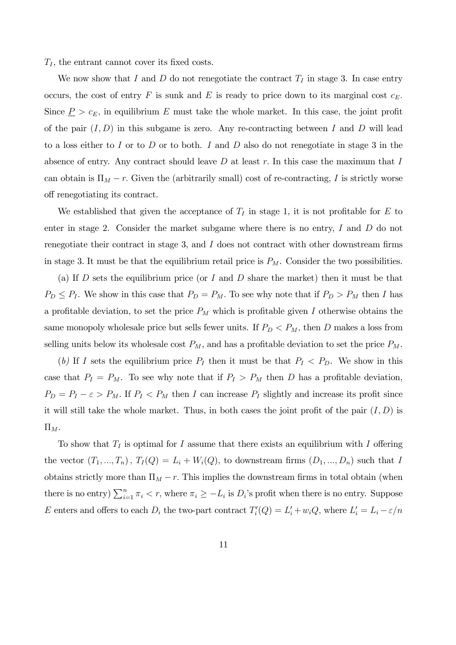$T_I$ , the entrant cannot cover its fixed costs.

We now show that I and D do not renegotiate the contract  $T_I$  in stage 3. In case entry occurs, the cost of entry F is sunk and E is ready to price down to its marginal cost  $c_E$ . Since  $\underline{P} > c_E$ , in equilibrium E must take the whole market. In this case, the joint profit of the pair  $(I, D)$  in this subgame is zero. Any re-contracting between I and D will lead to a loss either to I or to D or to both. I and D also do not renegotiate in stage 3 in the absence of entry. Any contract should leave  $D$  at least  $r$ . In this case the maximum that  $I$ can obtain is  $\Pi_M - r$ . Given the (arbitrarily small) cost of re-contracting, I is strictly worse off renegotiating its contract.

We established that given the acceptance of  $T_I$  in stage 1, it is not profitable for E to enter in stage 2. Consider the market subgame where there is no entry, I and D do not renegotiate their contract in stage 3, and  $I$  does not contract with other downstream firms in stage 3. It must be that the equilibrium retail price is  $P_M$ . Consider the two possibilities.

(a) If D sets the equilibrium price (or I and D share the market) then it must be that  $P_D \leq P_I$ . We show in this case that  $P_D = P_M$ . To see why note that if  $P_D > P_M$  then I has a profitable deviation, to set the price  $P_M$  which is profitable given I otherwise obtains the same monopoly wholesale price but sells fewer units. If  $P_D < P_M$ , then D makes a loss from selling units below its wholesale cost  $P_M$ , and has a profitable deviation to set the price  $P_M$ .

(b) If I sets the equilibrium price  $P_I$  then it must be that  $P_I < P_D$ . We show in this case that  $P_I = P_M$ . To see why note that if  $P_I > P_M$  then D has a profitable deviation,  $P_D = P_I - \varepsilon > P_M$ . If  $P_I < P_M$  then I can increase  $P_I$  slightly and increase its profit since it will still take the whole market. Thus, in both cases the joint profit of the pair  $(I, D)$  is  $\Pi_M$ .

To show that  $T_I$  is optimal for I assume that there exists an equilibrium with I offering the vector  $(T_1, ..., T_n)$ ,  $T_I(Q) = L_i + W_i(Q)$ , to downstream firms  $(D_1, ..., D_n)$  such that I obtains strictly more than  $\Pi_M - r$ . This implies the downstream firms in total obtain (when there is no entry)  $\sum_{i=1}^{n} \pi_i < r$ , where  $\pi_i \ge -L_i$  is  $D_i$ 's profit when there is no entry. Suppose E enters and offers to each  $D_i$  the two-part contract  $T_i'(Q) = L_i' + w_i Q$ , where  $L_i' = L_i - \varepsilon/n$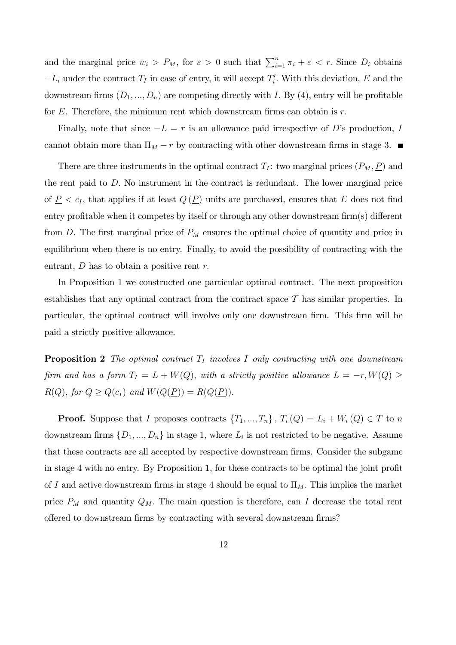and the marginal price  $w_i > P_M$ , for  $\varepsilon > 0$  such that  $\sum_{i=1}^n \pi_i + \varepsilon < r$ . Since  $D_i$  obtains  $-L_i$  under the contract  $T_I$  in case of entry, it will accept  $T_i'$ . With this deviation, E and the downstream firms  $(D_1, ..., D_n)$  are competing directly with I. By (4), entry will be profitable for  $E$ . Therefore, the minimum rent which downstream firms can obtain is  $r$ .

Finally, note that since  $-L = r$  is an allowance paid irrespective of D's production, I cannot obtain more than  $\Pi_M - r$  by contracting with other downstream firms in stage 3.

There are three instruments in the optimal contract  $T_I$ : two marginal prices  $(P_M, P)$  and the rent paid to D: No instrument in the contract is redundant. The lower marginal price of  $\underline{P} < c_I$ , that applies if at least  $Q(\underline{P})$  units are purchased, ensures that E does not find entry profitable when it competes by itself or through any other downstream  $\lim(s)$  different from D. The first marginal price of  $P_M$  ensures the optimal choice of quantity and price in equilibrium when there is no entry. Finally, to avoid the possibility of contracting with the entrant,  $D$  has to obtain a positive rent  $r$ .

In Proposition 1 we constructed one particular optimal contract. The next proposition establishes that any optimal contract from the contract space  $\mathcal T$  has similar properties. In particular, the optimal contract will involve only one downstream firm. This firm will be paid a strictly positive allowance.

**Proposition 2** The optimal contract  $T_I$  involves I only contracting with one downstream firm and has a form  $T_I = L + W(Q)$ , with a strictly positive allowance  $L = -r, W(Q) \geq$  $R(Q)$ , for  $Q \ge Q(c_I)$  and  $W(Q(\underline{P})) = R(Q(\underline{P})).$ 

**Proof.** Suppose that I proposes contracts  $\{T_1, ..., T_n\}$ ,  $T_i(Q) = L_i + W_i(Q) \in T$  to n downstream firms  $\{D_1, ..., D_n\}$  in stage 1, where  $L_i$  is not restricted to be negative. Assume that these contracts are all accepted by respective downstream firms. Consider the subgame in stage 4 with no entry. By Proposition 1, for these contracts to be optimal the joint profit of I and active downstream firms in stage 4 should be equal to  $\Pi_M$ . This implies the market price  $P_M$  and quantity  $Q_M$ . The main question is therefore, can I decrease the total rent offered to downstream firms by contracting with several downstream firms?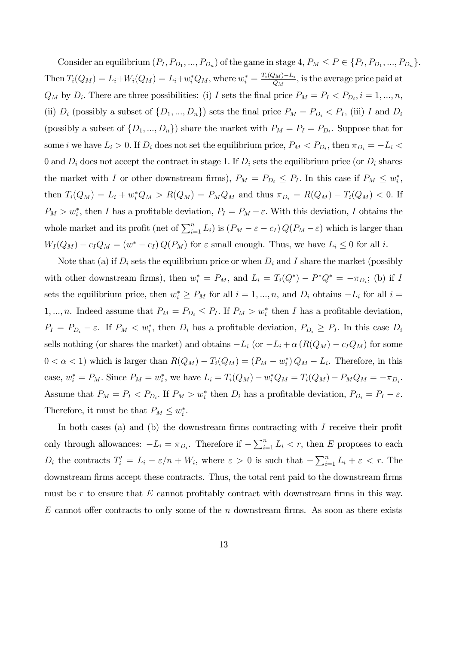Consider an equilibrium  $(P_I, P_{D_1}, ..., P_{D_n})$  of the game in stage  $4, P_M \le P \in \{P_I, P_{D_1}, ..., P_{D_n}\}.$ Then  $T_i(Q_M) = L_i + W_i(Q_M) = L_i + w_i^* Q_M$ , where  $w_i^* = \frac{T_i(Q_M) - L_i}{Q_M}$ , is the average price paid at  $Q_M$  by  $D_i$ . There are three possibilities: (i) I sets the final price  $P_M = P_I \langle P_{D_i}, i = 1, ..., n, \rangle$ (ii)  $D_i$  (possibly a subset of  $\{D_1, ..., D_n\}$ ) sets the final price  $P_M = P_{D_i} < P_I$ , (iii) I and  $D_i$ (possibly a subset of  $\{D_1, ..., D_n\}$ ) share the market with  $P_M = P_I = P_{D_i}$ . Suppose that for some *i* we have  $L_i > 0$ . If  $D_i$  does not set the equilibrium price,  $P_M < P_{D_i}$ , then  $\pi_{D_i} = -L_i$ 0 and  $D_i$  does not accept the contract in stage 1. If  $D_i$  sets the equilibrium price (or  $D_i$  shares the market with I or other downstream firms),  $P_M = P_{D_i} \leq P_I$ . In this case if  $P_M \leq w_i^*$ , then  $T_i(Q_M) = L_i + w_i^* Q_M > R(Q_M) = P_M Q_M$  and thus  $\pi_{D_i} = R(Q_M) - T_i(Q_M) < 0$ . If  $P_M > w_i^*$ , then I has a profitable deviation,  $P_I = P_M - \varepsilon$ . With this deviation, I obtains the whole market and its profit (net of  $\sum_{i=1}^{n} L_i$ ) is  $(P_M - \varepsilon - c_I) Q(P_M - \varepsilon)$  which is larger than  $W_I(Q_M) - c_IQ_M = (w^* - c_I) Q(P_M)$  for  $\varepsilon$  small enough. Thus, we have  $L_i \leq 0$  for all i.

Note that (a) if  $D_i$  sets the equilibrium price or when  $D_i$  and I share the market (possibly with other downstream firms), then  $w_i^* = P_M$ , and  $L_i = T_i(Q^*) - P^*Q^* = -\pi_{D_i}$ ; (b) if I sets the equilibrium price, then  $w_i^* \ge P_M$  for all  $i = 1, ..., n$ , and  $D_i$  obtains  $-L_i$  for all  $i =$ 1, ..., *n*. Indeed assume that  $P_M = P_{D_i} \leq P_I$ . If  $P_M > w_i^*$  then *I* has a profitable deviation,  $P_I = P_{D_i} - \varepsilon$ . If  $P_M < w_i^*$ , then  $D_i$  has a profitable deviation,  $P_{D_i} \ge P_I$ . In this case  $D_i$ sells nothing (or shares the market) and obtains  $-L_i$  (or  $-L_i + \alpha (R(Q_M) - c_IQ_M)$  for some  $0 < \alpha < 1$ ) which is larger than  $R(Q_M) - T_i(Q_M) = (P_M - w_i^*) Q_M - L_i$ . Therefore, in this case,  $w_i^* = P_M$ . Since  $P_M = w_i^*$ , we have  $L_i = T_i(Q_M) - w_i^* Q_M = T_i(Q_M) - P_M Q_M = -\pi_{D_i}$ . Assume that  $P_M = P_I < P_{D_i}$ . If  $P_M > w_i^*$  then  $D_i$  has a profitable deviation,  $P_{D_i} = P_I - \varepsilon$ . Therefore, it must be that  $P_M \leq w_i^*$ .

In both cases (a) and (b) the downstream firms contracting with  $I$  receive their profit only through allowances:  $-L_i = \pi_{D_i}$ . Therefore if  $-\sum_{i=1}^n L_i < r$ , then E proposes to each  $D_i$  the contracts  $T'_i = L_i - \varepsilon/n + W_i$ , where  $\varepsilon > 0$  is such that  $-\sum_{i=1}^n L_i + \varepsilon < r$ . The downstream firms accept these contracts. Thus, the total rent paid to the downstream firms must be r to ensure that  $E$  cannot profitably contract with downstream firms in this way.  $E$  cannot offer contracts to only some of the n downstream firms. As soon as there exists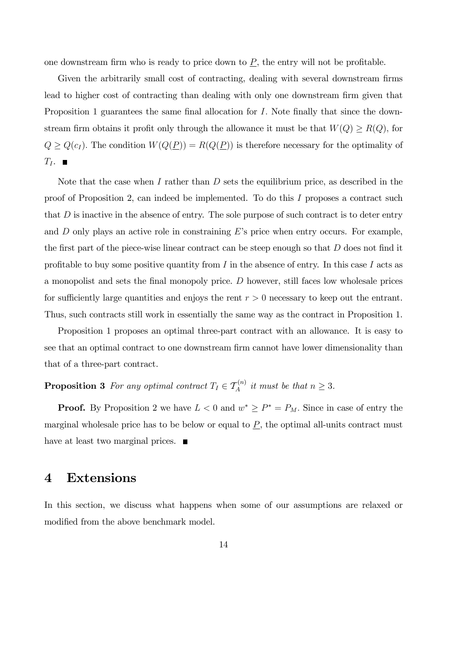one downstream firm who is ready to price down to  $\underline{P}$ , the entry will not be profitable.

Given the arbitrarily small cost of contracting, dealing with several downstream firms lead to higher cost of contracting than dealing with only one downstream firm given that Proposition 1 guarantees the same final allocation for  $I$ . Note finally that since the downstream firm obtains it profit only through the allowance it must be that  $W(Q) \ge R(Q)$ , for  $Q \ge Q(c_I)$ . The condition  $W(Q(\underline{P})) = R(Q(\underline{P}))$  is therefore necessary for the optimality of  $T_I$ .

Note that the case when I rather than  $D$  sets the equilibrium price, as described in the proof of Proposition 2, can indeed be implemented. To do this I proposes a contract such that  $D$  is inactive in the absence of entry. The sole purpose of such contract is to deter entry and  $D$  only plays an active role in constraining  $E$ 's price when entry occurs. For example, the first part of the piece-wise linear contract can be steep enough so that  $D$  does not find it profitable to buy some positive quantity from  $I$  in the absence of entry. In this case  $I$  acts as a monopolist and sets the final monopoly price.  $D$  however, still faces low wholesale prices for sufficiently large quantities and enjoys the rent  $r > 0$  necessary to keep out the entrant. Thus, such contracts still work in essentially the same way as the contract in Proposition 1.

Proposition 1 proposes an optimal three-part contract with an allowance. It is easy to see that an optimal contract to one downstream firm cannot have lower dimensionality than that of a three-part contract.

## **Proposition 3** For any optimal contract  $T_I \in \mathcal{T}_A^{(n)}$  it must be that  $n \geq 3$ .

**Proof.** By Proposition 2 we have  $L < 0$  and  $w^* \ge P^* = P_M$ . Since in case of entry the marginal wholesale price has to be below or equal to  $P$ , the optimal all-units contract must have at least two marginal prices.  $\blacksquare$ 

#### 4 Extensions

In this section, we discuss what happens when some of our assumptions are relaxed or modified from the above benchmark model.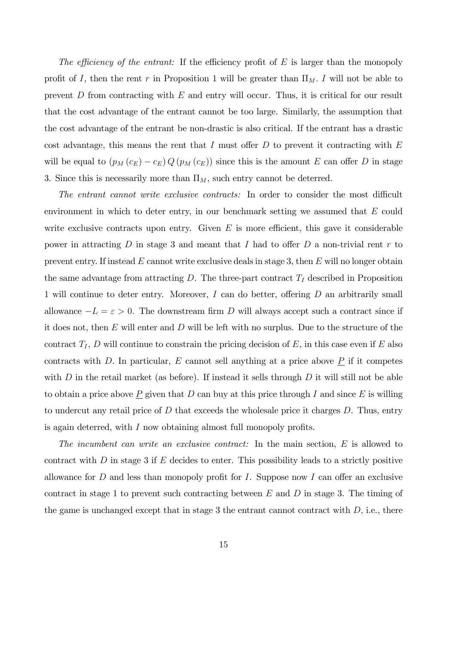The efficiency of the entrant: If the efficiency profit of  $E$  is larger than the monopoly profit of I, then the rent r in Proposition 1 will be greater than  $\Pi_M$ . I will not be able to prevent  $D$  from contracting with  $E$  and entry will occur. Thus, it is critical for our result that the cost advantage of the entrant cannot be too large. Similarly, the assumption that the cost advantage of the entrant be non-drastic is also critical. If the entrant has a drastic cost advantage, this means the rent that I must offer  $D$  to prevent it contracting with  $E$ will be equal to  $(p_M(c_E) - c_E) Q (p_M(c_E))$  since this is the amount E can offer D in stage 3. Since this is necessarily more than  $\Pi_M$ , such entry cannot be deterred.

The entrant cannot write exclusive contracts: In order to consider the most difficult environment in which to deter entry, in our benchmark setting we assumed that E could write exclusive contracts upon entry. Given  $E$  is more efficient, this gave it considerable power in attracting D in stage 3 and meant that I had to offer D a non-trivial rent r to prevent entry. If instead  $E$  cannot write exclusive deals in stage 3, then  $E$  will no longer obtain the same advantage from attracting  $D$ . The three-part contract  $T_I$  described in Proposition 1 will continue to deter entry. Moreover,  $I$  can do better, offering  $D$  an arbitrarily small allowance  $-L = \varepsilon > 0$ . The downstream firm D will always accept such a contract since if it does not, then  $E$  will enter and  $D$  will be left with no surplus. Due to the structure of the contract  $T_I$ , D will continue to constrain the pricing decision of E, in this case even if E also contracts with D. In particular, E cannot sell anything at a price above  $\underline{P}$  if it competes with D in the retail market (as before). If instead it sells through D it will still not be able to obtain a price above  $\underline{P}$  given that  $D$  can buy at this price through  $I$  and since  $E$  is willing to undercut any retail price of  $D$  that exceeds the wholesale price it charges  $D$ . Thus, entry is again deterred, with  $I$  now obtaining almost full monopoly profits.

The incumbent can write an exclusive contract: In the main section, E is allowed to contract with  $D$  in stage 3 if  $E$  decides to enter. This possibility leads to a strictly positive allowance for  $D$  and less than monopoly profit for  $I$ . Suppose now  $I$  can offer an exclusive contract in stage 1 to prevent such contracting between  $E$  and  $D$  in stage 3. The timing of the game is unchanged except that in stage 3 the entrant cannot contract with  $D$ , i.e., there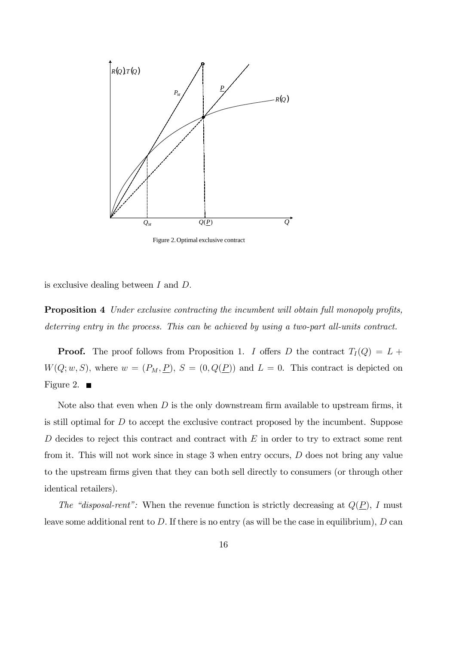

Figure 2.Optimal exclusive contract

is exclusive dealing between  $I$  and  $D$ .

**Proposition 4** Under exclusive contracting the incumbent will obtain full monopoly profits, deterring entry in the process. This can be achieved by using a two-part all-units contract.

**Proof.** The proof follows from Proposition 1. I offers D the contract  $T_I(Q) = L +$  $W(Q; w, S)$ , where  $w = (P_M, \underline{P})$ ,  $S = (0, Q(\underline{P}))$  and  $L = 0$ . This contract is depicted on Figure 2.  $\blacksquare$ 

Note also that even when  $D$  is the only downstream firm available to upstream firms, it is still optimal for D to accept the exclusive contract proposed by the incumbent. Suppose  $D$  decides to reject this contract and contract with  $E$  in order to try to extract some rent from it. This will not work since in stage 3 when entry occurs, D does not bring any value to the upstream firms given that they can both sell directly to consumers (or through other identical retailers).

The "disposal-rent": When the revenue function is strictly decreasing at  $Q(\underline{P})$ , I must leave some additional rent to D. If there is no entry (as will be the case in equilibrium),  $D \text{ can}$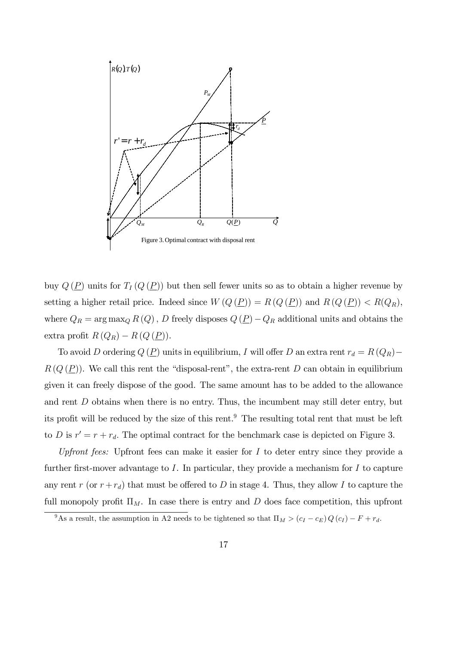

buy  $Q(\underline{P})$  units for  $T_I(Q(\underline{P}))$  but then sell fewer units so as to obtain a higher revenue by setting a higher retail price. Indeed since  $W(Q(\underline{P})) = R(Q(\underline{P}))$  and  $R(Q(\underline{P})) < R(Q_R)$ , where  $Q_R = \arg \max_Q R(Q)$ , D freely disposes  $Q(\underline{P}) - Q_R$  additional units and obtains the extra profit  $R(Q_R) - R(Q(\underline{P})).$ 

To avoid D ordering  $Q(\underline{P})$  units in equilibrium, I will offer D an extra rent  $r_d = R(Q_R)$  $R(Q(\underline{P}))$ . We call this rent the "disposal-rent", the extra-rent D can obtain in equilibrium given it can freely dispose of the good. The same amount has to be added to the allowance and rent  $D$  obtains when there is no entry. Thus, the incumbent may still deter entry, but its profit will be reduced by the size of this rent.<sup>9</sup> The resulting total rent that must be left to D is  $r' = r + r_d$ . The optimal contract for the benchmark case is depicted on Figure 3.

Upfront fees: Upfront fees can make it easier for  $I$  to deter entry since they provide a further first-mover advantage to I. In particular, they provide a mechanism for I to capture any rent r (or  $r + r_d$ ) that must be offered to D in stage 4. Thus, they allow I to capture the full monopoly profit  $\Pi_M$ . In case there is entry and D does face competition, this upfront

<sup>&</sup>lt;sup>9</sup>As a result, the assumption in A2 needs to be tightened so that  $\Pi_M > (c_I - c_E) Q(c_I) - F + r_d$ .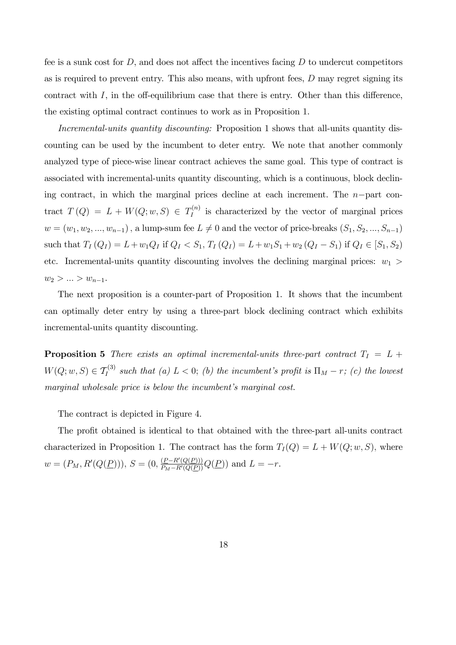fee is a sunk cost for  $D$ , and does not affect the incentives facing  $D$  to undercut competitors as is required to prevent entry. This also means, with upfront fees, D may regret signing its contract with  $I$ , in the off-equilibrium case that there is entry. Other than this difference, the existing optimal contract continues to work as in Proposition 1.

Incremental-units quantity discounting: Proposition 1 shows that all-units quantity discounting can be used by the incumbent to deter entry. We note that another commonly analyzed type of piece-wise linear contract achieves the same goal. This type of contract is associated with incremental-units quantity discounting, which is a continuous, block declining contract, in which the marginal prices decline at each increment. The  $n$ -part contract  $T(Q) = L + W(Q; w, S) \in T_I^{(n)}$  $I_I^{(n)}$  is characterized by the vector of marginal prices  $w = (w_1, w_2, ..., w_{n-1})$ , a lump-sum fee  $L \neq 0$  and the vector of price-breaks  $(S_1, S_2, ..., S_{n-1})$ such that  $T_I(Q_I) = L + w_1 Q_I$  if  $Q_I < S_1$ ,  $T_I(Q_I) = L + w_1 S_1 + w_2 (Q_I - S_1)$  if  $Q_I \in [S_1, S_2)$ etc. Incremental-units quantity discounting involves the declining marginal prices:  $w_1$  >  $w_2 > ... > w_{n-1}.$ 

The next proposition is a counter-part of Proposition 1. It shows that the incumbent can optimally deter entry by using a three-part block declining contract which exhibits incremental-units quantity discounting.

**Proposition 5** There exists an optimal incremental-units three-part contract  $T_I = L +$  $W(Q; w, S) \in \mathcal{T}_I^{(3)}$  such that (a)  $L < 0$ ; (b) the incumbent's profit is  $\Pi_M - r$ ; (c) the lowest marginal wholesale price is below the incumbent's marginal cost.

The contract is depicted in Figure 4.

The profit obtained is identical to that obtained with the three-part all-units contract characterized in Proposition 1. The contract has the form  $T_I(Q) = L + W(Q; w, S)$ , where  $w = (P_M, R'(Q(\underline{P}))), S = (0, \frac{(\underline{P} - R'(Q(\underline{P})))}{P_M - R'(Q(\underline{P}))} Q(\underline{P}))$  and  $L = -r$ .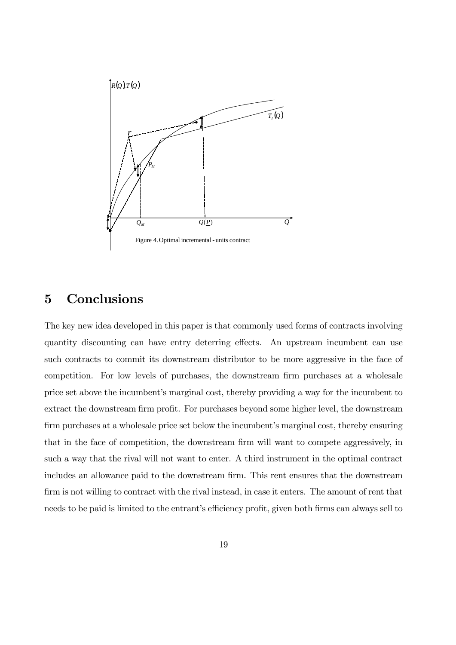

## 5 Conclusions

The key new idea developed in this paper is that commonly used forms of contracts involving quantity discounting can have entry deterring effects. An upstream incumbent can use such contracts to commit its downstream distributor to be more aggressive in the face of competition. For low levels of purchases, the downstream firm purchases at a wholesale price set above the incumbent's marginal cost, thereby providing a way for the incumbent to extract the downstream firm profit. For purchases beyond some higher level, the downstream firm purchases at a wholesale price set below the incumbent's marginal cost, thereby ensuring that in the face of competition, the downstream firm will want to compete aggressively, in such a way that the rival will not want to enter. A third instrument in the optimal contract includes an allowance paid to the downstream firm. This rent ensures that the downstream firm is not willing to contract with the rival instead, in case it enters. The amount of rent that needs to be paid is limited to the entrant's efficiency profit, given both firms can always sell to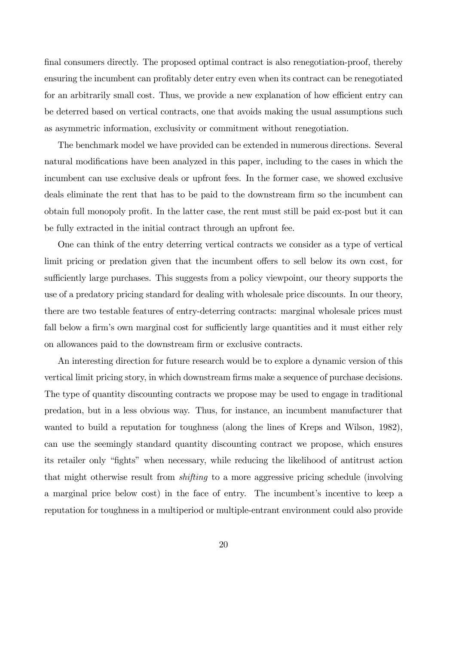final consumers directly. The proposed optimal contract is also renegotiation-proof, thereby ensuring the incumbent can profitably deter entry even when its contract can be renegotiated for an arbitrarily small cost. Thus, we provide a new explanation of how efficient entry can be deterred based on vertical contracts, one that avoids making the usual assumptions such as asymmetric information, exclusivity or commitment without renegotiation.

The benchmark model we have provided can be extended in numerous directions. Several natural modifications have been analyzed in this paper, including to the cases in which the incumbent can use exclusive deals or upfront fees. In the former case, we showed exclusive deals eliminate the rent that has to be paid to the downstream firm so the incumbent can obtain full monopoly profit. In the latter case, the rent must still be paid ex-post but it can be fully extracted in the initial contract through an upfront fee.

One can think of the entry deterring vertical contracts we consider as a type of vertical limit pricing or predation given that the incumbent offers to sell below its own cost, for sufficiently large purchases. This suggests from a policy viewpoint, our theory supports the use of a predatory pricing standard for dealing with wholesale price discounts. In our theory, there are two testable features of entry-deterring contracts: marginal wholesale prices must fall below a firm's own marginal cost for sufficiently large quantities and it must either rely on allowances paid to the downstream firm or exclusive contracts.

An interesting direction for future research would be to explore a dynamic version of this vertical limit pricing story, in which downstream firms make a sequence of purchase decisions. The type of quantity discounting contracts we propose may be used to engage in traditional predation, but in a less obvious way. Thus, for instance, an incumbent manufacturer that wanted to build a reputation for toughness (along the lines of Kreps and Wilson, 1982), can use the seemingly standard quantity discounting contract we propose, which ensures its retailer only "fights" when necessary, while reducing the likelihood of antitrust action that might otherwise result from shifting to a more aggressive pricing schedule (involving a marginal price below cost) in the face of entry. The incumbent's incentive to keep a reputation for toughness in a multiperiod or multiple-entrant environment could also provide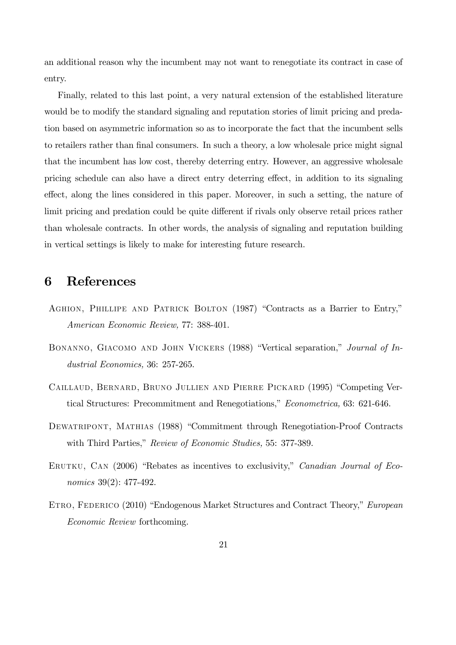an additional reason why the incumbent may not want to renegotiate its contract in case of entry.

Finally, related to this last point, a very natural extension of the established literature would be to modify the standard signaling and reputation stories of limit pricing and predation based on asymmetric information so as to incorporate the fact that the incumbent sells to retailers rather than final consumers. In such a theory, a low wholesale price might signal that the incumbent has low cost, thereby deterring entry. However, an aggressive wholesale pricing schedule can also have a direct entry deterring effect, in addition to its signaling effect, along the lines considered in this paper. Moreover, in such a setting, the nature of limit pricing and predation could be quite different if rivals only observe retail prices rather than wholesale contracts. In other words, the analysis of signaling and reputation building in vertical settings is likely to make for interesting future research.

### 6 References

- AGHION, PHILLIPE AND PATRICK BOLTON (1987) "Contracts as a Barrier to Entry," American Economic Review, 77: 388-401.
- BONANNO, GIACOMO AND JOHN VICKERS (1988) "Vertical separation," Journal of Industrial Economics, 36: 257-265.
- CAILLAUD, BERNARD, BRUNO JULLIEN AND PIERRE PICKARD (1995) "Competing Vertical Structures: Precommitment and Renegotiations," Econometrica, 63: 621-646.
- DEWATRIPONT, MATHIAS (1988) "Commitment through Renegotiation-Proof Contracts with Third Parties," Review of Economic Studies, 55: 377-389.
- ERUTKU, CAN (2006) "Rebates as incentives to exclusivity," Canadian Journal of Economics 39(2): 477-492.
- ETRO, FEDERICO (2010) "Endogenous Market Structures and Contract Theory," European Economic Review forthcoming.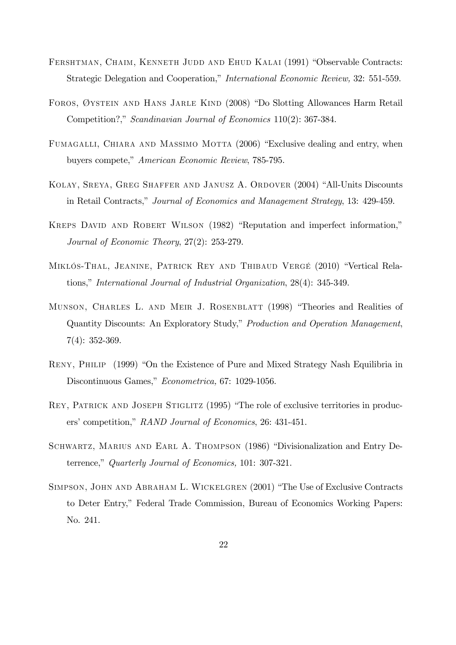- FERSHTMAN, CHAIM, KENNETH JUDD AND EHUD KALAI (1991) "Observable Contracts: Strategic Delegation and Cooperation," International Economic Review, 32: 551-559.
- FOROS, ØYSTEIN AND HANS JARLE KIND (2008) "Do Slotting Allowances Harm Retail Competition?," Scandinavian Journal of Economics 110(2): 367-384.
- FUMAGALLI, CHIARA AND MASSIMO MOTTA (2006) "Exclusive dealing and entry, when buyers compete," American Economic Review, 785-795.
- KOLAY, SREYA, GREG SHAFFER AND JANUSZ A. ORDOVER (2004) "All-Units Discounts in Retail Contracts," Journal of Economics and Management Strategy, 13: 429-459.
- KREPS DAVID AND ROBERT WILSON (1982) "Reputation and imperfect information," Journal of Economic Theory, 27(2): 253-279.
- MIKLÓS-THAL, JEANINE, PATRICK REY AND THIBAUD VERGÉ (2010) "Vertical Relations," International Journal of Industrial Organization, 28(4): 345-349.
- MUNSON, CHARLES L. AND MEIR J. ROSENBLATT (1998) "Theories and Realities of Quantity Discounts: An Exploratory Study," Production and Operation Management, 7(4): 352-369.
- RENY, PHILIP (1999) "On the Existence of Pure and Mixed Strategy Nash Equilibria in Discontinuous Games," Econometrica, 67: 1029-1056.
- REY, PATRICK AND JOSEPH STIGLITZ (1995) "The role of exclusive territories in producers' competition," RAND Journal of Economics, 26: 431-451.
- SCHWARTZ, MARIUS AND EARL A. THOMPSON (1986) "Divisionalization and Entry Deterrence," Quarterly Journal of Economics, 101: 307-321.
- SIMPSON, JOHN AND ABRAHAM L. WICKELGREN (2001) "The Use of Exclusive Contracts to Deter Entry," Federal Trade Commission, Bureau of Economics Working Papers: No. 241.